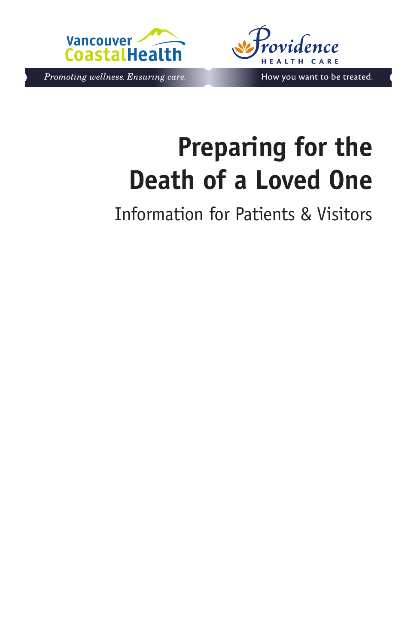



Promoting wellness. Ensuring care.

How you want to be treated.

# **Preparing for the Death of a Loved One**

Information for Patients & Visitors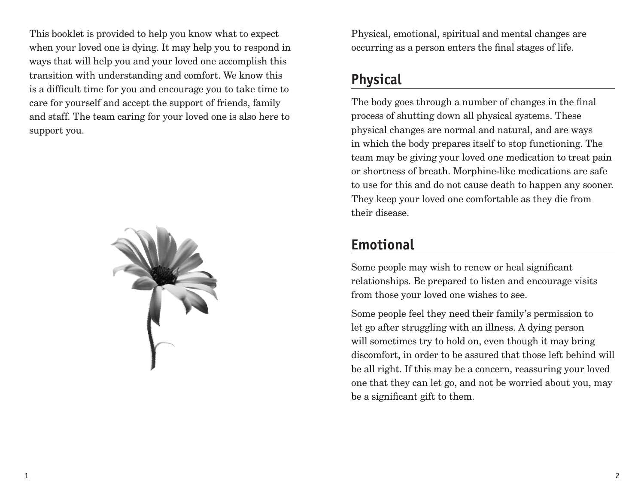This booklet is provided to help you know what to expect when your loved one is dying. It may help you to respond in ways that will help you and your loved one accomplish this transition with understanding and comfort. We know this is a difficult time for you and encourage you to take time to care for yourself and accept the support of friends, family and staff. The team caring for your loved one is also here to support you.



Physical, emotional, spiritual and mental changes are occurring as a person enters the final stages of life.

### **Physical**

The body goes through a number of changes in the final process of shutting down all physical systems. These physical changes are normal and natural, and are ways in which the body prepares itself to stop functioning. The team may be giving your loved one medication to treat pain or shortness of breath. Morphine-like medications are safe to use for this and do not cause death to happen any sooner. They keep your loved one comfortable as they die from their disease.

### **Emotional**

Some people may wish to renew or heal significant relationships. Be prepared to listen and encourage visits from those your loved one wishes to see.

Some people feel they need their family's permission to let go after struggling with an illness. A dying person will sometimes try to hold on, even though it may bring discomfort, in order to be assured that those left behind will be all right. If this may be a concern, reassuring your loved one that they can let go, and not be worried about you, may be a significant gift to them.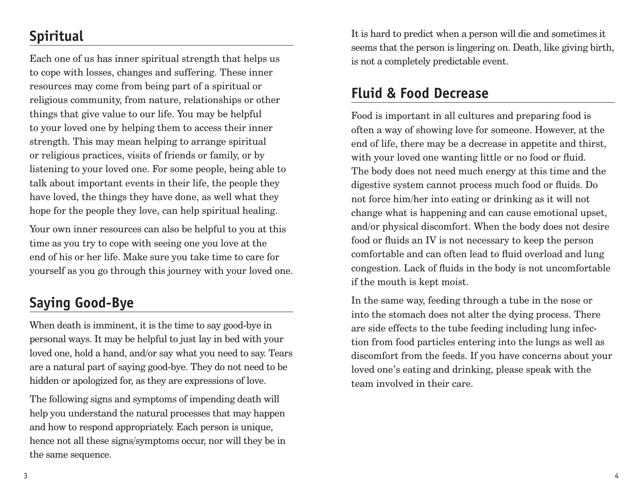# **Spiritual**

Each one of us has inner spiritual strength that helps us to cope with losses, changes and suffering. These inner resources may come from being part of a spiritual or religious community, from nature, relationships or other things that give value to our life. You may be helpful to your loved one by helping them to access their inner strength. This may mean helping to arrange spiritual or religious practices, visits of friends or family, or by listening to your loved one. For some people, being able to talk about important events in their life, the people they have loved, the things they have done, as well what they hope for the people they love, can help spiritual healing.

Your own inner resources can also be helpful to you at this time as you try to cope with seeing one you love at the end of his or her life. Make sure you take time to care for yourself as you go through this journey with your loved one.

# **Saying Good-Bye**

When death is imminent, it is the time to say good-bye in personal ways. It may be helpful to just lay in bed with your loved one, hold a hand, and/or say what you need to say. Tears are a natural part of saying good-bye. They do not need to be hidden or apologized for, as they are expressions of love.

The following signs and symptoms of impending death will help you understand the natural processes that may happen and how to respond appropriately. Each person is unique, hence not all these signs/symptoms occur, nor will they be in the same sequence.

It is hard to predict when a person will die and sometimes it seems that the person is lingering on. Death, like giving birth, is not a completely predictable event.

### **Fluid & Food Decrease**

Food is important in all cultures and preparing food is often a way of showing love for someone. However, at the end of life, there may be a decrease in appetite and thirst, with your loved one wanting little or no food or fluid. The body does not need much energy at this time and the digestive system cannot process much food or fluids. Do not force him/her into eating or drinking as it will not change what is happening and can cause emotional upset, and/or physical discomfort. When the body does not desire food or fluids an IV is not necessary to keep the person comfortable and can often lead to fluid overload and lung congestion. Lack of fluids in the body is not uncomfortable if the mouth is kept moist.

In the same way, feeding through a tube in the nose or into the stomach does not alter the dying process. There are side effects to the tube feeding including lung infection from food particles entering into the lungs as well as discomfort from the feeds. If you have concerns about your loved one's eating and drinking, please speak with the team involved in their care.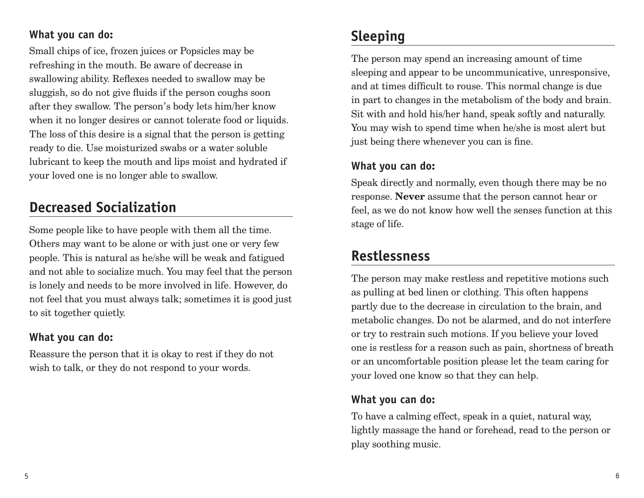#### **What you can do:**

Small chips of ice, frozen juices or Popsicles may be refreshing in the mouth. Be aware of decrease in swallowing ability. Reflexes needed to swallow may be sluggish, so do not give fluids if the person coughs soon after they swallow. The person's body lets him/her know when it no longer desires or cannot tolerate food or liquids. The loss of this desire is a signal that the person is getting ready to die. Use moisturized swabs or a water soluble lubricant to keep the mouth and lips moist and hydrated if your loved one is no longer able to swallow.

## **Decreased Socialization**

Some people like to have people with them all the time. Others may want to be alone or with just one or very few people. This is natural as he/she will be weak and fatigued and not able to socialize much. You may feel that the person is lonely and needs to be more involved in life. However, do not feel that you must always talk; sometimes it is good just to sit together quietly.

### **What you can do:**

Reassure the person that it is okay to rest if they do not wish to talk, or they do not respond to your words.

# **Sleeping**

The person may spend an increasing amount of time sleeping and appear to be uncommunicative, unresponsive, and at times difficult to rouse. This normal change is due in part to changes in the metabolism of the body and brain. Sit with and hold his/her hand, speak softly and naturally. You may wish to spend time when he/she is most alert but just being there whenever you can is fine.

#### **What you can do:**

Speak directly and normally, even though there may be no response. **Never** assume that the person cannot hear or feel, as we do not know how well the senses function at this stage of life.

### **Restlessness**

The person may make restless and repetitive motions such as pulling at bed linen or clothing. This often happens partly due to the decrease in circulation to the brain, and metabolic changes. Do not be alarmed, and do not interfere or try to restrain such motions. If you believe your loved one is restless for a reason such as pain, shortness of breath or an uncomfortable position please let the team caring for your loved one know so that they can help.

#### **What you can do:**

To have a calming effect, speak in a quiet, natural way, lightly massage the hand or forehead, read to the person or play soothing music.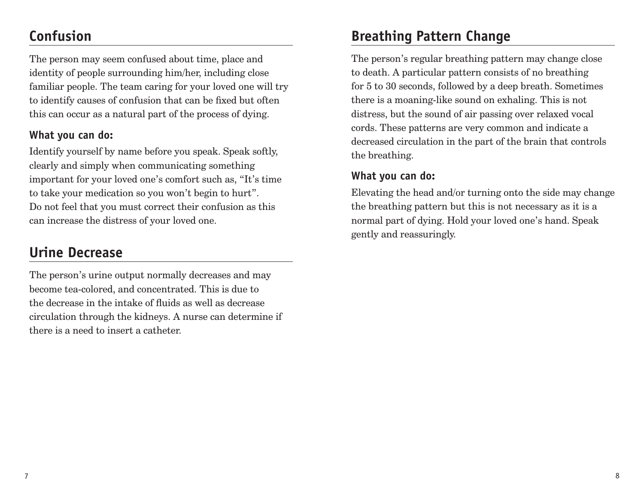# **Confusion**

The person may seem confused about time, place and identity of people surrounding him/her, including close familiar people. The team caring for your loved one will try to identify causes of confusion that can be fixed but often this can occur as a natural part of the process of dying.

#### **What you can do:**

Identify yourself by name before you speak. Speak softly, clearly and simply when communicating something important for your loved one's comfort such as, "It's time to take your medication so you won't begin to hurt". Do not feel that you must correct their confusion as this can increase the distress of your loved one.

## **Urine Decrease**

The person's urine output normally decreases and may become tea-colored, and concentrated. This is due to the decrease in the intake of fluids as well as decrease circulation through the kidneys. A nurse can determine if there is a need to insert a catheter.

### **Breathing Pattern Change**

The person's regular breathing pattern may change close to death. A particular pattern consists of no breathing for 5 to 30 seconds, followed by a deep breath. Sometimes there is a moaning-like sound on exhaling. This is not distress, but the sound of air passing over relaxed vocal cords. These patterns are very common and indicate a decreased circulation in the part of the brain that controls the breathing.

#### **What you can do:**

Elevating the head and/or turning onto the side may change the breathing pattern but this is not necessary as it is a normal part of dying. Hold your loved one's hand. Speak gently and reassuringly.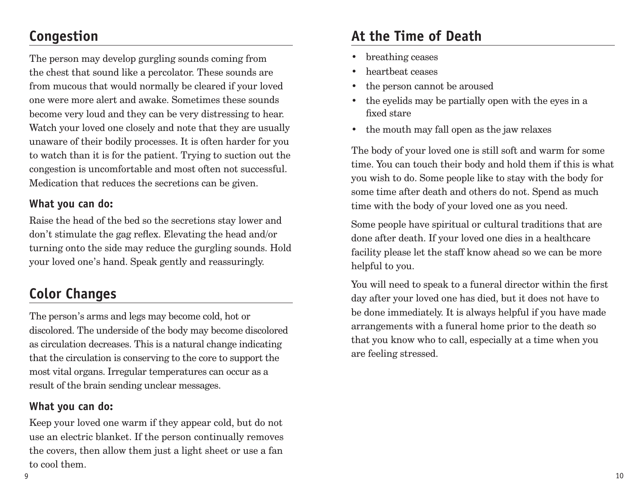# **Congestion**

The person may develop gurgling sounds coming from the chest that sound like a percolator. These sounds are from mucous that would normally be cleared if your loved one were more alert and awake. Sometimes these sounds become very loud and they can be very distressing to hear. Watch your loved one closely and note that they are usually unaware of their bodily processes. It is often harder for you to watch than it is for the patient. Trying to suction out the congestion is uncomfortable and most often not successful. Medication that reduces the secretions can be given.

### **What you can do:**

Raise the head of the bed so the secretions stay lower and don't stimulate the gag reflex. Elevating the head and/or turning onto the side may reduce the gurgling sounds. Hold your loved one's hand. Speak gently and reassuringly.

# **Color Changes**

The person's arms and legs may become cold, hot or discolored. The underside of the body may become discolored as circulation decreases. This is a natural change indicating that the circulation is conserving to the core to support the most vital organs. Irregular temperatures can occur as a result of the brain sending unclear messages.

### **What you can do:**

Keep your loved one warm if they appear cold, but do not use an electric blanket. If the person continually removes the covers, then allow them just a light sheet or use a fan to cool them.

# **At the Time of Death**

- breathing ceases
- heartheat ceases
- the person cannot be aroused
- the eyelids may be partially open with the eyes in a fixed stare
- • the mouth may fall open as the jaw relaxes

The body of your loved one is still soft and warm for some time. You can touch their body and hold them if this is what you wish to do. Some people like to stay with the body for some time after death and others do not. Spend as much time with the body of your loved one as you need.

Some people have spiritual or cultural traditions that are done after death. If your loved one dies in a healthcare facility please let the staff know ahead so we can be more helpful to you.

You will need to speak to a funeral director within the first day after your loved one has died, but it does not have to be done immediately. It is always helpful if you have made arrangements with a funeral home prior to the death so that you know who to call, especially at a time when you are feeling stressed.